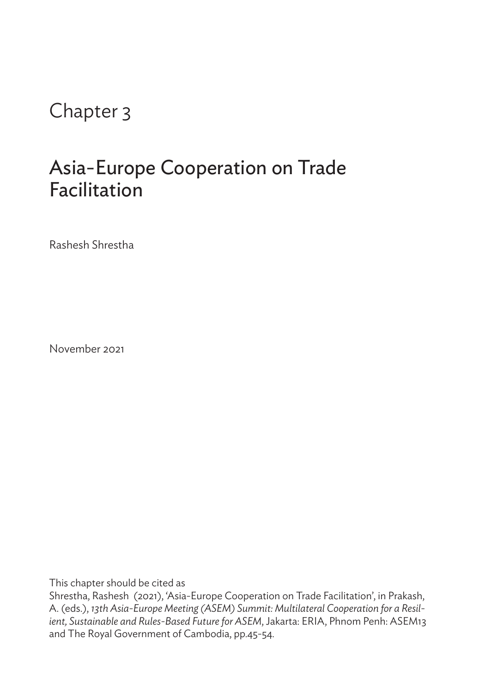## Chapter 3

## Asia-Europe Cooperation on Trade Facilitation

Rashesh Shrestha

November 2021

This chapter should be cited as

Shrestha, Rashesh (2021), 'Asia-Europe Cooperation on Trade Facilitation', in Prakash, A. (eds.), *13th Asia-Europe Meeting (ASEM) Summit: Multilateral Cooperation for a Resilient, Sustainable and Rules-Based Future for ASEM*, Jakarta: ERIA, Phnom Penh: ASEM13 and The Royal Government of Cambodia, pp.45-54.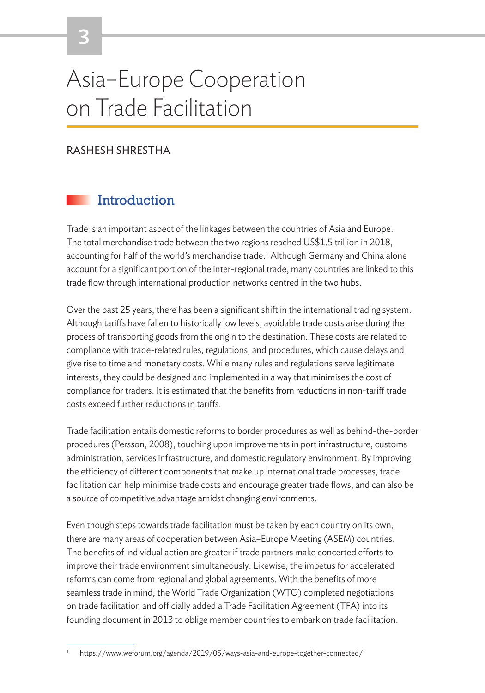# Asia–Europe Cooperation on Trade Facilitation

#### RASHESH SHRESTHA

## **Introduction**

Trade is an important aspect of the linkages between the countries of Asia and Europe. The total merchandise trade between the two regions reached US\$1.5 trillion in 2018, accounting for half of the world's merchandise trade.<sup>1</sup> Although Germany and China alone account for a significant portion of the inter-regional trade, many countries are linked to this trade flow through international production networks centred in the two hubs.

Over the past 25 years, there has been a significant shift in the international trading system. Although tariffs have fallen to historically low levels, avoidable trade costs arise during the process of transporting goods from the origin to the destination. These costs are related to compliance with trade-related rules, regulations, and procedures, which cause delays and give rise to time and monetary costs. While many rules and regulations serve legitimate interests, they could be designed and implemented in a way that minimises the cost of compliance for traders. It is estimated that the benefits from reductions in non-tariff trade costs exceed further reductions in tariffs.

Trade facilitation entails domestic reforms to border procedures as well as behind-the-border procedures (Persson, 2008), touching upon improvements in port infrastructure, customs administration, services infrastructure, and domestic regulatory environment. By improving the efficiency of different components that make up international trade processes, trade facilitation can help minimise trade costs and encourage greater trade flows, and can also be a source of competitive advantage amidst changing environments.

Even though steps towards trade facilitation must be taken by each country on its own, there are many areas of cooperation between Asia–Europe Meeting (ASEM) countries. The benefits of individual action are greater if trade partners make concerted efforts to improve their trade environment simultaneously. Likewise, the impetus for accelerated reforms can come from regional and global agreements. With the benefits of more seamless trade in mind, the World Trade Organization (WTO) completed negotiations on trade facilitation and officially added a Trade Facilitation Agreement (TFA) into its founding document in 2013 to oblige member countries to embark on trade facilitation.

<sup>1</sup> https://www.weforum.org/agenda/2019/05/ways-asia-and-europe-together-connected/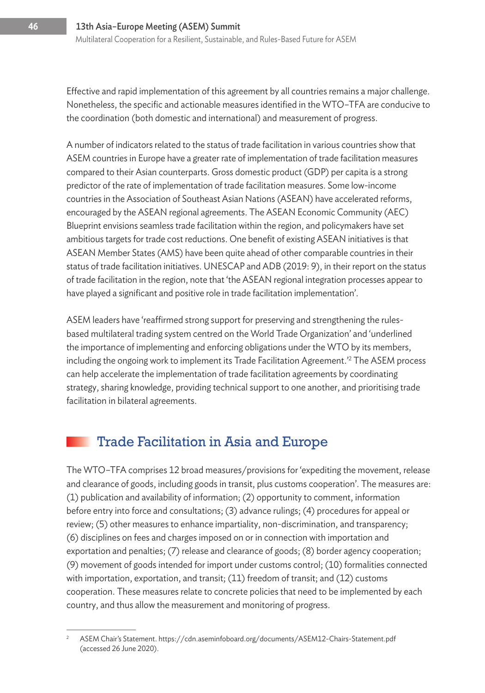Effective and rapid implementation of this agreement by all countries remains a major challenge. Nonetheless, the specific and actionable measures identified in the WTO–TFA are conducive to the coordination (both domestic and international) and measurement of progress.

A number of indicators related to the status of trade facilitation in various countries show that ASEM countries in Europe have a greater rate of implementation of trade facilitation measures compared to their Asian counterparts. Gross domestic product (GDP) per capita is a strong predictor of the rate of implementation of trade facilitation measures. Some low-income countries in the Association of Southeast Asian Nations (ASEAN) have accelerated reforms, encouraged by the ASEAN regional agreements. The ASEAN Economic Community (AEC) Blueprint envisions seamless trade facilitation within the region, and policymakers have set ambitious targets for trade cost reductions. One benefit of existing ASEAN initiatives is that ASEAN Member States (AMS) have been quite ahead of other comparable countries in their status of trade facilitation initiatives. UNESCAP and ADB (2019: 9), in their report on the status of trade facilitation in the region, note that 'the ASEAN regional integration processes appear to have played a significant and positive role in trade facilitation implementation'.

ASEM leaders have 'reaffirmed strong support for preserving and strengthening the rulesbased multilateral trading system centred on the World Trade Organization' and 'underlined the importance of implementing and enforcing obligations under the WTO by its members, including the ongoing work to implement its Trade Facilitation Agreement.'2 The ASEM process can help accelerate the implementation of trade facilitation agreements by coordinating strategy, sharing knowledge, providing technical support to one another, and prioritising trade facilitation in bilateral agreements.

### Trade Facilitation in Asia and Europe

The WTO–TFA comprises 12 broad measures/provisions for 'expediting the movement, release and clearance of goods, including goods in transit, plus customs cooperation'. The measures are: (1) publication and availability of information; (2) opportunity to comment, information before entry into force and consultations; (3) advance rulings; (4) procedures for appeal or review; (5) other measures to enhance impartiality, non-discrimination, and transparency; (6) disciplines on fees and charges imposed on or in connection with importation and exportation and penalties; (7) release and clearance of goods; (8) border agency cooperation; (9) movement of goods intended for import under customs control; (10) formalities connected with importation, exportation, and transit; (11) freedom of transit; and (12) customs cooperation. These measures relate to concrete policies that need to be implemented by each country, and thus allow the measurement and monitoring of progress.

<sup>&</sup>lt;sup>2</sup> ASEM Chair's Statement. https://cdn.aseminfoboard.org/documents/ASEM12-Chairs-Statement.pdf (accessed 26 June 2020).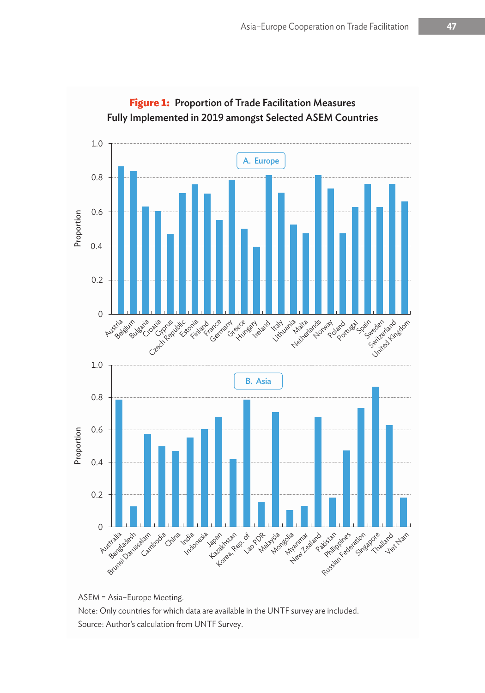

**Figure 1:** Proportion of Trade Facilitation Measures Fully Implemented in 2019 amongst Selected ASEM Countries

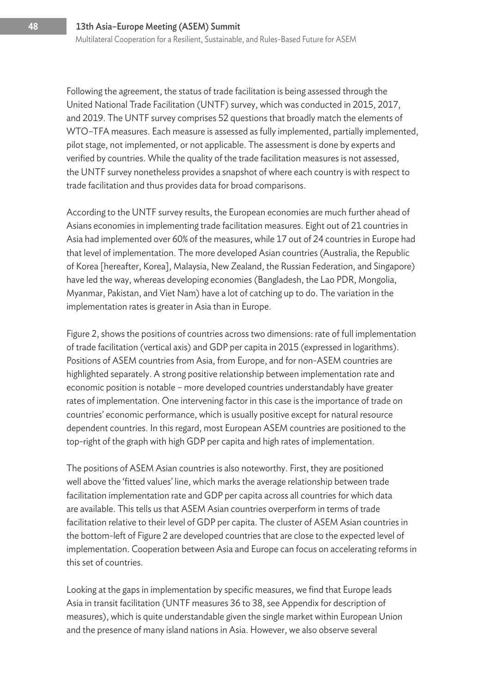Following the agreement, the status of trade facilitation is being assessed through the United National Trade Facilitation (UNTF) survey, which was conducted in 2015, 2017, and 2019. The UNTF survey comprises 52 questions that broadly match the elements of WTO–TFA measures. Each measure is assessed as fully implemented, partially implemented, pilot stage, not implemented, or not applicable. The assessment is done by experts and verified by countries. While the quality of the trade facilitation measures is not assessed, the UNTF survey nonetheless provides a snapshot of where each country is with respect to trade facilitation and thus provides data for broad comparisons.

According to the UNTF survey results, the European economies are much further ahead of Asians economies in implementing trade facilitation measures. Eight out of 21 countries in Asia had implemented over 60% of the measures, while 17 out of 24 countries in Europe had that level of implementation. The more developed Asian countries (Australia, the Republic of Korea [hereafter, Korea], Malaysia, New Zealand, the Russian Federation, and Singapore) have led the way, whereas developing economies (Bangladesh, the Lao PDR, Mongolia, Myanmar, Pakistan, and Viet Nam) have a lot of catching up to do. The variation in the implementation rates is greater in Asia than in Europe.

Figure 2, shows the positions of countries across two dimensions: rate of full implementation of trade facilitation (vertical axis) and GDP per capita in 2015 (expressed in logarithms). Positions of ASEM countries from Asia, from Europe, and for non-ASEM countries are highlighted separately. A strong positive relationship between implementation rate and economic position is notable – more developed countries understandably have greater rates of implementation. One intervening factor in this case is the importance of trade on countries' economic performance, which is usually positive except for natural resource dependent countries. In this regard, most European ASEM countries are positioned to the top-right of the graph with high GDP per capita and high rates of implementation.

The positions of ASEM Asian countries is also noteworthy. First, they are positioned well above the 'fitted values' line, which marks the average relationship between trade facilitation implementation rate and GDP per capita across all countries for which data are available. This tells us that ASEM Asian countries overperform in terms of trade facilitation relative to their level of GDP per capita. The cluster of ASEM Asian countries in the bottom-left of Figure 2 are developed countries that are close to the expected level of implementation. Cooperation between Asia and Europe can focus on accelerating reforms in this set of countries.

Looking at the gaps in implementation by specific measures, we find that Europe leads Asia in transit facilitation (UNTF measures 36 to 38, see Appendix for description of measures), which is quite understandable given the single market within European Union and the presence of many island nations in Asia. However, we also observe several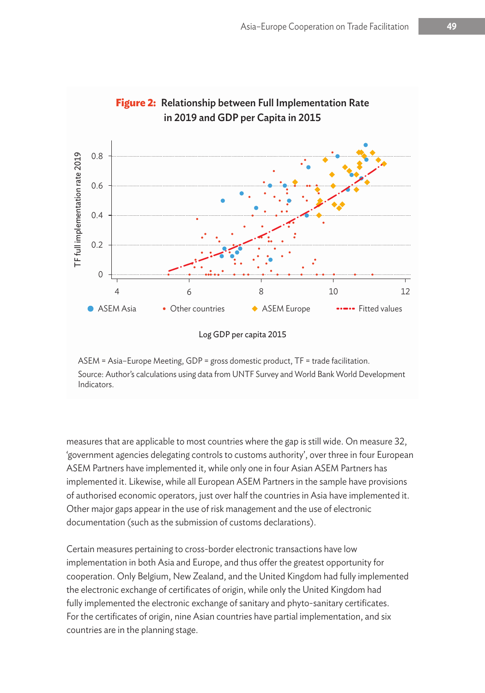

# **Figure 2:** Relationship between Full Implementation Rate

#### Log GDP per capita 2015

ASEM = Asia–Europe Meeting, GDP = gross domestic product, TF = trade facilitation. Source: Author's calculations using data from UNTF Survey and World Bank World Development Indicators.

measures that are applicable to most countries where the gap is still wide. On measure 32, 'government agencies delegating controls to customs authority', over three in four European ASEM Partners have implemented it, while only one in four Asian ASEM Partners has implemented it. Likewise, while all European ASEM Partners in the sample have provisions of authorised economic operators, just over half the countries in Asia have implemented it. Other major gaps appear in the use of risk management and the use of electronic documentation (such as the submission of customs declarations).

Certain measures pertaining to cross-border electronic transactions have low implementation in both Asia and Europe, and thus offer the greatest opportunity for cooperation. Only Belgium, New Zealand, and the United Kingdom had fully implemented the electronic exchange of certificates of origin, while only the United Kingdom had fully implemented the electronic exchange of sanitary and phyto-sanitary certificates. For the certificates of origin, nine Asian countries have partial implementation, and six countries are in the planning stage.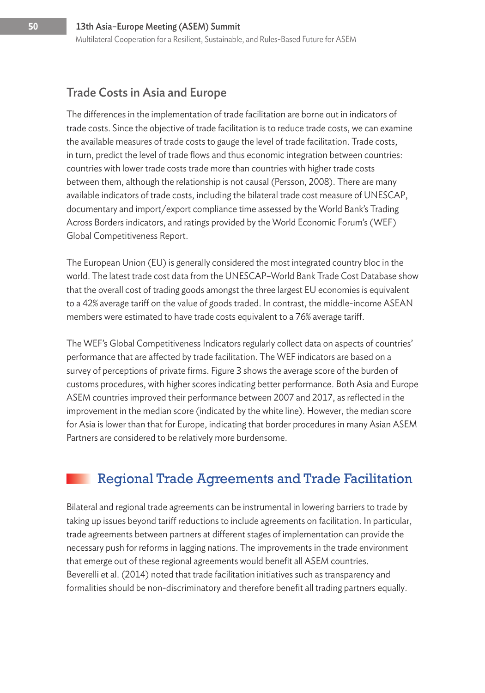### Trade Costs in Asia and Europe

The differences in the implementation of trade facilitation are borne out in indicators of trade costs. Since the objective of trade facilitation is to reduce trade costs, we can examine the available measures of trade costs to gauge the level of trade facilitation. Trade costs, in turn, predict the level of trade flows and thus economic integration between countries: countries with lower trade costs trade more than countries with higher trade costs between them, although the relationship is not causal (Persson, 2008). There are many available indicators of trade costs, including the bilateral trade cost measure of UNESCAP, documentary and import/export compliance time assessed by the World Bank's Trading Across Borders indicators, and ratings provided by the World Economic Forum's (WEF) Global Competitiveness Report.

The European Union (EU) is generally considered the most integrated country bloc in the world. The latest trade cost data from the UNESCAP–World Bank Trade Cost Database show that the overall cost of trading goods amongst the three largest EU economies is equivalent to a 42% average tariff on the value of goods traded. In contrast, the middle-income ASEAN members were estimated to have trade costs equivalent to a 76% average tariff.

The WEF's Global Competitiveness Indicators regularly collect data on aspects of countries' performance that are affected by trade facilitation. The WEF indicators are based on a survey of perceptions of private firms. Figure 3 shows the average score of the burden of customs procedures, with higher scores indicating better performance. Both Asia and Europe ASEM countries improved their performance between 2007 and 2017, as reflected in the improvement in the median score (indicated by the white line). However, the median score for Asia is lower than that for Europe, indicating that border procedures in many Asian ASEM Partners are considered to be relatively more burdensome.

## Regional Trade Agreements and Trade Facilitation

Bilateral and regional trade agreements can be instrumental in lowering barriers to trade by taking up issues beyond tariff reductions to include agreements on facilitation. In particular, trade agreements between partners at different stages of implementation can provide the necessary push for reforms in lagging nations. The improvements in the trade environment that emerge out of these regional agreements would benefit all ASEM countries. Beverelli et al. (2014) noted that trade facilitation initiatives such as transparency and formalities should be non-discriminatory and therefore benefit all trading partners equally.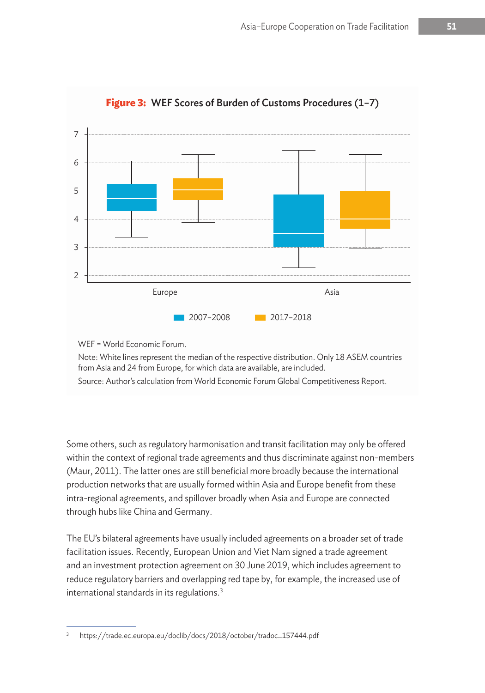

**Figure 3:** WEF Scores of Burden of Customs Procedures (1–7)

WEF = World Economic Forum.

Note: White lines represent the median of the respective distribution. Only 18 ASEM countries from Asia and 24 from Europe, for which data are available, are included.

Source: Author's calculation from World Economic Forum Global Competitiveness Report.

Some others, such as regulatory harmonisation and transit facilitation may only be offered within the context of regional trade agreements and thus discriminate against non-members (Maur, 2011). The latter ones are still beneficial more broadly because the international production networks that are usually formed within Asia and Europe benefit from these intra-regional agreements, and spillover broadly when Asia and Europe are connected through hubs like China and Germany.

The EU's bilateral agreements have usually included agreements on a broader set of trade facilitation issues. Recently, European Union and Viet Nam signed a trade agreement and an investment protection agreement on 30 June 2019, which includes agreement to reduce regulatory barriers and overlapping red tape by, for example, the increased use of international standards in its regulations.3

<sup>3</sup> https://trade.ec.europa.eu/doclib/docs/2018/october/tradoc\_157444.pdf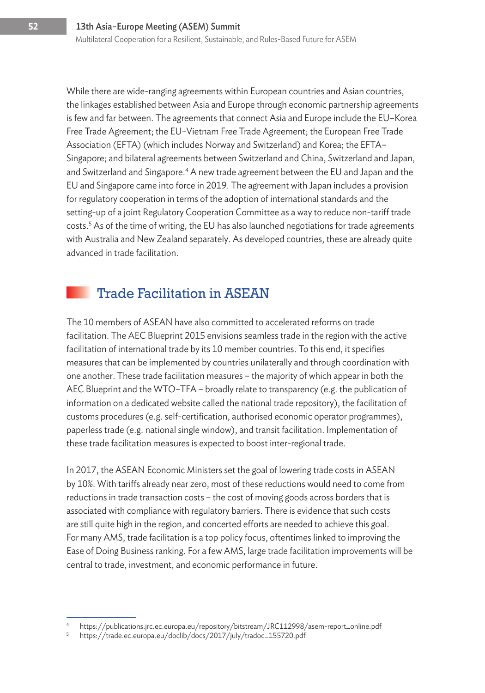While there are wide-ranging agreements within European countries and Asian countries, the linkages established between Asia and Europe through economic partnership agreements is few and far between. The agreements that connect Asia and Europe include the EU–Korea Free Trade Agreement; the EU–Vietnam Free Trade Agreement; the European Free Trade Association (EFTA) (which includes Norway and Switzerland) and Korea; the EFTA– Singapore; and bilateral agreements between Switzerland and China, Switzerland and Japan, and Switzerland and Singapore.<sup>4</sup> A new trade agreement between the EU and Japan and the EU and Singapore came into force in 2019. The agreement with Japan includes a provision for regulatory cooperation in terms of the adoption of international standards and the setting-up of a joint Regulatory Cooperation Committee as a way to reduce non-tariff trade costs.5 As of the time of writing, the EU has also launched negotiations for trade agreements with Australia and New Zealand separately. As developed countries, these are already quite advanced in trade facilitation.

## Trade Facilitation in ASEAN

The 10 members of ASEAN have also committed to accelerated reforms on trade facilitation. The AEC Blueprint 2015 envisions seamless trade in the region with the active facilitation of international trade by its 10 member countries. To this end, it specifies measures that can be implemented by countries unilaterally and through coordination with one another. These trade facilitation measures – the majority of which appear in both the AEC Blueprint and the WTO–TFA – broadly relate to transparency (e.g. the publication of information on a dedicated website called the national trade repository), the facilitation of customs procedures (e.g. self-certification, authorised economic operator programmes), paperless trade (e.g. national single window), and transit facilitation. Implementation of these trade facilitation measures is expected to boost inter-regional trade.

In 2017, the ASEAN Economic Ministers set the goal of lowering trade costs in ASEAN by 10%. With tariffs already near zero, most of these reductions would need to come from reductions in trade transaction costs – the cost of moving goods across borders that is associated with compliance with regulatory barriers. There is evidence that such costs are still quite high in the region, and concerted efforts are needed to achieve this goal. For many AMS, trade facilitation is a top policy focus, oftentimes linked to improving the Ease of Doing Business ranking. For a few AMS, large trade facilitation improvements will be central to trade, investment, and economic performance in future.

<sup>4</sup> https://publications.jrc.ec.europa.eu/repository/bitstream/JRC112998/asem-report\_online.pdf

<sup>5</sup> https://trade.ec.europa.eu/doclib/docs/2017/july/tradoc\_155720.pdf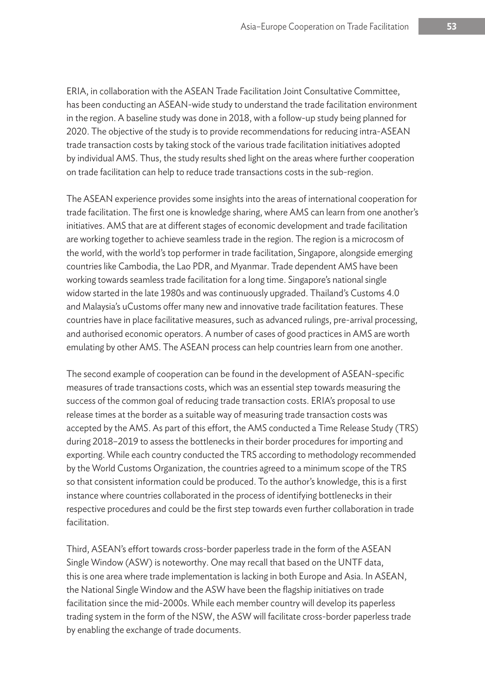ERIA, in collaboration with the ASEAN Trade Facilitation Joint Consultative Committee, has been conducting an ASEAN-wide study to understand the trade facilitation environment in the region. A baseline study was done in 2018, with a follow-up study being planned for 2020. The objective of the study is to provide recommendations for reducing intra-ASEAN trade transaction costs by taking stock of the various trade facilitation initiatives adopted by individual AMS. Thus, the study results shed light on the areas where further cooperation on trade facilitation can help to reduce trade transactions costs in the sub-region.

The ASEAN experience provides some insights into the areas of international cooperation for trade facilitation. The first one is knowledge sharing, where AMS can learn from one another's initiatives. AMS that are at different stages of economic development and trade facilitation are working together to achieve seamless trade in the region. The region is a microcosm of the world, with the world's top performer in trade facilitation, Singapore, alongside emerging countries like Cambodia, the Lao PDR, and Myanmar. Trade dependent AMS have been working towards seamless trade facilitation for a long time. Singapore's national single widow started in the late 1980s and was continuously upgraded. Thailand's Customs 4.0 and Malaysia's uCustoms offer many new and innovative trade facilitation features. These countries have in place facilitative measures, such as advanced rulings, pre-arrival processing, and authorised economic operators. A number of cases of good practices in AMS are worth emulating by other AMS. The ASEAN process can help countries learn from one another.

The second example of cooperation can be found in the development of ASEAN-specific measures of trade transactions costs, which was an essential step towards measuring the success of the common goal of reducing trade transaction costs. ERIA's proposal to use release times at the border as a suitable way of measuring trade transaction costs was accepted by the AMS. As part of this effort, the AMS conducted a Time Release Study (TRS) during 2018–2019 to assess the bottlenecks in their border procedures for importing and exporting. While each country conducted the TRS according to methodology recommended by the World Customs Organization, the countries agreed to a minimum scope of the TRS so that consistent information could be produced. To the author's knowledge, this is a first instance where countries collaborated in the process of identifying bottlenecks in their respective procedures and could be the first step towards even further collaboration in trade facilitation.

Third, ASEAN's effort towards cross-border paperless trade in the form of the ASEAN Single Window (ASW) is noteworthy. One may recall that based on the UNTF data, this is one area where trade implementation is lacking in both Europe and Asia. In ASEAN, the National Single Window and the ASW have been the flagship initiatives on trade facilitation since the mid-2000s. While each member country will develop its paperless trading system in the form of the NSW, the ASW will facilitate cross-border paperless trade by enabling the exchange of trade documents.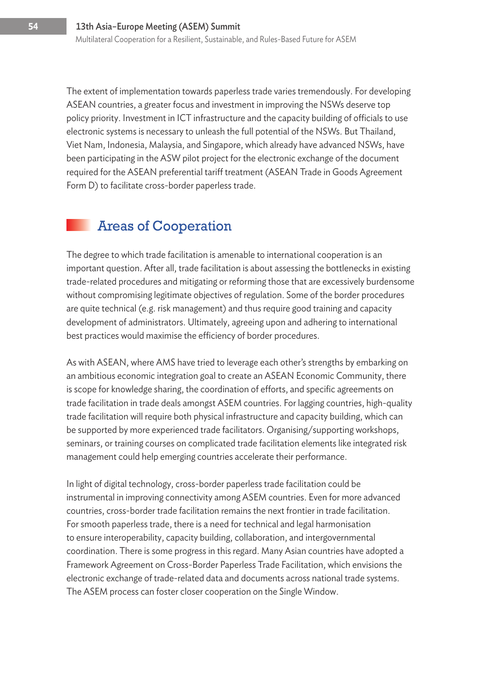The extent of implementation towards paperless trade varies tremendously. For developing ASEAN countries, a greater focus and investment in improving the NSWs deserve top policy priority. Investment in ICT infrastructure and the capacity building of officials to use electronic systems is necessary to unleash the full potential of the NSWs. But Thailand, Viet Nam, Indonesia, Malaysia, and Singapore, which already have advanced NSWs, have been participating in the ASW pilot project for the electronic exchange of the document required for the ASEAN preferential tariff treatment (ASEAN Trade in Goods Agreement Form D) to facilitate cross-border paperless trade.

## Areas of Cooperation

The degree to which trade facilitation is amenable to international cooperation is an important question. After all, trade facilitation is about assessing the bottlenecks in existing trade-related procedures and mitigating or reforming those that are excessively burdensome without compromising legitimate objectives of regulation. Some of the border procedures are quite technical (e.g. risk management) and thus require good training and capacity development of administrators. Ultimately, agreeing upon and adhering to international best practices would maximise the efficiency of border procedures.

As with ASEAN, where AMS have tried to leverage each other's strengths by embarking on an ambitious economic integration goal to create an ASEAN Economic Community, there is scope for knowledge sharing, the coordination of efforts, and specific agreements on trade facilitation in trade deals amongst ASEM countries. For lagging countries, high-quality trade facilitation will require both physical infrastructure and capacity building, which can be supported by more experienced trade facilitators. Organising/supporting workshops, seminars, or training courses on complicated trade facilitation elements like integrated risk management could help emerging countries accelerate their performance.

In light of digital technology, cross-border paperless trade facilitation could be instrumental in improving connectivity among ASEM countries. Even for more advanced countries, cross-border trade facilitation remains the next frontier in trade facilitation. For smooth paperless trade, there is a need for technical and legal harmonisation to ensure interoperability, capacity building, collaboration, and intergovernmental coordination. There is some progress in this regard. Many Asian countries have adopted a Framework Agreement on Cross-Border Paperless Trade Facilitation, which envisions the electronic exchange of trade-related data and documents across national trade systems. The ASEM process can foster closer cooperation on the Single Window.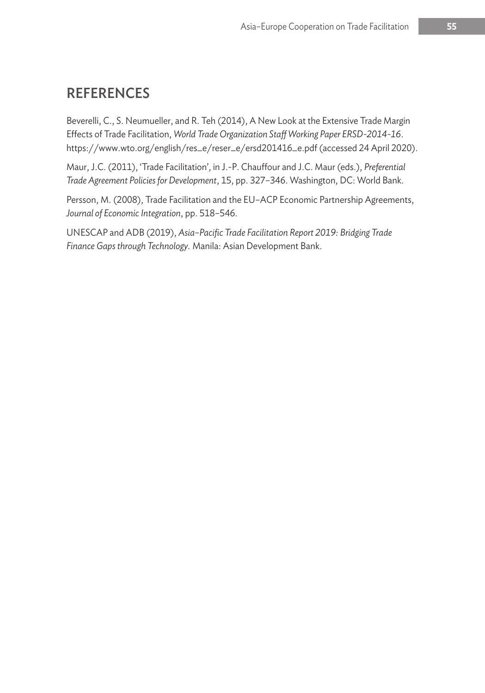## **REFERENCES**

Beverelli, C., S. Neumueller, and R. Teh (2014), A New Look at the Extensive Trade Margin Effects of Trade Facilitation, *World Trade Organization Staff Working Paper ERSD-2014-16*. https://www.wto.org/english/res\_e/reser\_e/ersd201416\_e.pdf (accessed 24 April 2020).

Maur, J.C. (2011), 'Trade Facilitation', in J.-P. Chauffour and J.C. Maur (eds.), *Preferential Trade Agreement Policies for Development*, 15, pp. 327–346. Washington, DC: World Bank.

Persson, M. (2008), Trade Facilitation and the EU–ACP Economic Partnership Agreements, *Journal of Economic Integration*, pp. 518–546.

UNESCAP and ADB (2019), *Asia–Pacific Trade Facilitation Report 2019: Bridging Trade Finance Gaps through Technology.* Manila: Asian Development Bank.